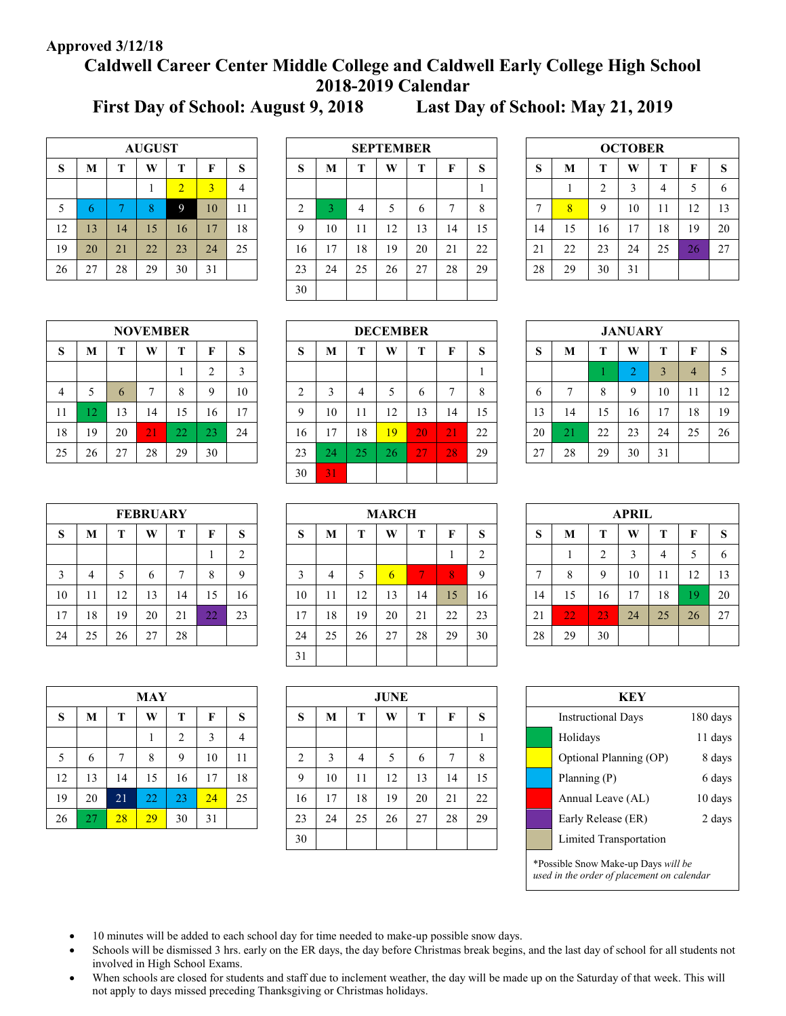## **Approved 3/12/18**

# **Caldwell Career Center Middle College and Caldwell Early College High School 2018-2019 Calendar**

|    | <b>AUGUST</b> |    |    |                |                |    |  |  |  |  |  |  |  |
|----|---------------|----|----|----------------|----------------|----|--|--|--|--|--|--|--|
| S  | M             | T  | W  | T              | F              | S  |  |  |  |  |  |  |  |
|    |               |    |    | $\overline{2}$ | $\overline{3}$ | 4  |  |  |  |  |  |  |  |
| 5  | 6             |    | 8  | 9              | 10             | 11 |  |  |  |  |  |  |  |
| 12 | 13            | 14 | 15 | 16             | 17             | 18 |  |  |  |  |  |  |  |
| 19 | 20            | 21 | 22 | 23             | 24             | 25 |  |  |  |  |  |  |  |
| 26 | 27            | 28 | 29 | 30             | 31             |    |  |  |  |  |  |  |  |

|    |    |    | <b>AUGUST</b> |                |    |    |              |    |    | <b>SEPTEMBER</b> |    |    |    | <b>OCTOBER</b> |    |    |    |    |    |     |
|----|----|----|---------------|----------------|----|----|--------------|----|----|------------------|----|----|----|----------------|----|----|----|----|----|-----|
| S  | M  |    | W             | m              | F  | S  | $\sim$<br>D. | M  | т  | W                | Т  | F  | S  | S              | M  |    | W  | T  |    | - S |
|    |    |    |               | $\overline{2}$ | 3  | 4  |              |    |    |                  |    |    |    |                |    | ◠  | 3  | 4  |    | 6   |
| 5  | b  |    | 8             |                | 10 | 11 |              |    | 4  |                  | O  |    | 8  |                | 8  | 9  | 10 | 11 | 12 | 13  |
| 12 | 13 | 14 | 15            | 16             | 17 | 18 | 9            | 10 | 11 | 12               | 13 | 14 | 15 | 14             | 15 | 16 | 17 | 18 | 19 | 20  |
| 19 | 20 | 21 | 22            | 23             | 24 | 25 | 16           | 17 | 18 | 19               | 20 | 21 | 22 | 21             | 22 | 23 | 24 | 25 | 26 | 27  |
| 26 | 27 | 28 | 29            | 30             | 31 |    | 23           | 24 | 25 | 26               | 27 | 28 | 29 | 28             | 29 | 30 | 31 |    |    |     |
|    |    |    |               |                |    |    | 30           |    |    |                  |    |    |    |                |    |    |    |    |    |     |

| <b>OCTOBER</b> |    |                |    |    |    |    |  |  |  |  |  |  |
|----------------|----|----------------|----|----|----|----|--|--|--|--|--|--|
| S              | M  | T              | W  | T  | F  | S  |  |  |  |  |  |  |
|                |    | $\overline{2}$ | 3  | 4  | 5  | 6  |  |  |  |  |  |  |
| 7              | 8  | 9              | 10 | 11 | 12 | 13 |  |  |  |  |  |  |
| 14             | 15 | 16             | 17 | 18 | 19 | 20 |  |  |  |  |  |  |
| 21             | 22 | 23             | 24 | 25 | 26 | 27 |  |  |  |  |  |  |
| 28             | 29 | 30             | 31 |    |    |    |  |  |  |  |  |  |

|    | <b>NOVEMBER</b> |    |    |    |                |                |  |  |  |  |  |  |  |
|----|-----------------|----|----|----|----------------|----------------|--|--|--|--|--|--|--|
| S  | M               | T  | W  | T  | F              | S              |  |  |  |  |  |  |  |
|    |                 |    |    |    | $\overline{2}$ | $\overline{3}$ |  |  |  |  |  |  |  |
| 4  | 5               | 6  | 7  | 8  | 9              | 10             |  |  |  |  |  |  |  |
| 11 | 12              | 13 | 14 | 15 | 16             | 17             |  |  |  |  |  |  |  |
| 18 | 19              | 20 | 21 | 22 | 23             | 24             |  |  |  |  |  |  |  |
| 25 | 26              | 27 | 28 | 29 | 30             |                |  |  |  |  |  |  |  |

|    |    |             | <b>NOVEMBER</b> |    |              |                    |             |    |    | <b>DECEMBER</b> |    |    |             |                   |    |    | <b>JANUARY</b> |    |    |              |
|----|----|-------------|-----------------|----|--------------|--------------------|-------------|----|----|-----------------|----|----|-------------|-------------------|----|----|----------------|----|----|--------------|
| S  | M  | т           | W               | m  | г            | S                  | $\sim$<br>ാ | M  | m  | W               |    | п  | $\sim$<br>ø | $\mathbf C$<br>D. | M  |    | W              | m  |    | <sub>S</sub> |
|    |    |             |                 |    | ◠            | $\mathcal{L}$<br>Ć |             |    |    |                 |    |    |             |                   |    |    | ◠<br>÷         |    | 4  | 5            |
| 4  |    | $\mathbf b$ |                 |    | Q            | 10                 | ⌒           | 3  |    |                 | O  |    | 8           | <sub>0</sub>      | −  | 8  | 9              | 10 |    | 12           |
| 11 |    | 13          | 14              | 15 | 16           | 17                 | Q           | 10 |    | 12              | 13 | 14 | 15          | 13                | 14 | 15 | 16             | 17 | 18 | 19           |
| 18 | 19 | 20          | 21              | 22 | $\sim$<br>25 | 24                 | 16          | 17 | 18 | 19              | 20 | 21 | 22          | 20                |    | 22 | 23             | 24 | 25 | 26           |
| 25 | 26 | 27          | 28              | 29 | 30           |                    | 23          | 24 | 25 | 26              | 27 | 28 | 29          | 27                | 28 | 29 | 30             | 31 |    |              |
|    |    |             |                 |    |              |                    | 30          | 31 |    |                 |    |    |             |                   |    |    |                |    |    |              |

| <b>JANUARY</b> |    |    |                |    |    |    |  |  |  |  |  |  |
|----------------|----|----|----------------|----|----|----|--|--|--|--|--|--|
| S              | M  | T  | W              | T  | F  | S  |  |  |  |  |  |  |
|                |    |    | $\overline{2}$ | 3  | 4  | 5  |  |  |  |  |  |  |
| 6              | 7  | 8  | 9              | 10 | 11 | 12 |  |  |  |  |  |  |
| 13             | 14 | 15 | 16             | 17 | 18 | 19 |  |  |  |  |  |  |
| 20             | 21 | 22 | 23             | 24 | 25 | 26 |  |  |  |  |  |  |
| 27             | 28 | 29 | 30             | 31 |    |    |  |  |  |  |  |  |

|    |    |    | <b>FEBRUARY</b> |    |    |                |
|----|----|----|-----------------|----|----|----------------|
| S  | M  | T  | W               | T  | F  | S              |
|    |    |    |                 |    |    | $\overline{2}$ |
| 3  |    | 5  | 6               | 7  | 8  | 9              |
| 10 | 11 | 12 | 13              | 14 | 15 | 16             |
| 17 | 18 | 19 | 20              | 21 | 22 | 23             |
| 24 | 25 | 26 | 27              | 28 |    |                |

|    |      |    | <b>FEBRUARY</b> |    |    |        |              |    |    | <b>MARCH</b> |              |                 |             |                    |               |    | <b>APRIL</b> |    |          |              |
|----|------|----|-----------------|----|----|--------|--------------|----|----|--------------|--------------|-----------------|-------------|--------------------|---------------|----|--------------|----|----------|--------------|
| S  | M    | т  | W               | m  | F  | S      | $\sim$<br>D. | M  | m  | W            | m            | F               | $\sim$<br>O | $\mathbf{C}$<br>D. | M             | т  | W            | Т  |          | <sub>S</sub> |
|    |      |    |                 |    |    | ◠<br>∠ |              |    |    |              |              |                 | ◠           |                    |               | ◠  | 3            | 4  |          | -6           |
| 3  | 4    |    | b               |    | 8  | 9      | $\sim$       | 4  |    | 6            | $\mathbf{r}$ | 8               | $\mathbf Q$ | -                  | $\Omega$<br>◠ | 9  | 10           | 11 | 12<br>14 | 13           |
| 10 | -1-1 | 12 | 13              | 14 | 15 | 16     | 10           | 11 | 12 | 13           | 14           | 15 <sup>7</sup> | 16          | 14                 | 15            | 16 | 17           | 18 | -Q       | 20           |
| 17 | 18   | 19 | 20              | 21 | 22 | 23     | 17           | 18 | 19 | 20           | 21           | 22              | 23          | 21                 | 22            | 23 | 24           | 25 | 26       | 27           |
| 24 | 25   | 26 | 27              | 28 |    |        | 24           | 25 | 26 | 27           | 28           | 29              | 30          | 28                 | 29            | 30 |              |    |          |              |
|    |      |    |                 |    |    |        | 31           |    |    |              |              |                 |             |                    |               |    |              |    |          |              |

|    | <b>APRIL</b> |                |    |    |    |    |  |  |  |  |  |  |  |
|----|--------------|----------------|----|----|----|----|--|--|--|--|--|--|--|
| S  | M            | T              | W  | T  | F  | S  |  |  |  |  |  |  |  |
|    |              | $\overline{2}$ | 3  | 4  | 5  | 6  |  |  |  |  |  |  |  |
| 7  | 8            | 9              | 10 | 11 | 12 | 13 |  |  |  |  |  |  |  |
| 14 | 15           | 16             | 17 | 18 | 19 | 20 |  |  |  |  |  |  |  |
| 21 | 22           | 23             | 24 | 25 | 26 | 27 |  |  |  |  |  |  |  |
| 28 | 29           | 30             |    |    |    |    |  |  |  |  |  |  |  |

|    |    |    | <b>MAY</b> |             |                 |                |             |    |    | JUNE |    |    |    |  | <b>KEY</b>                |          |
|----|----|----|------------|-------------|-----------------|----------------|-------------|----|----|------|----|----|----|--|---------------------------|----------|
| S  | M  |    | W          |             |                 | S              | c<br>D.     | M  |    | W    | т  | F  | S  |  | <b>Instructional Days</b> | 180 days |
|    |    |    |            |             | $\sim$          | $\overline{4}$ |             |    |    |      |    |    |    |  | Holidays                  | 11 days  |
| 5  | 6  | −  | 8          | $\mathbf Q$ | 10              | 11             | $\sim$      | 3  | 4  |      | 6  |    | 8  |  | Optional Planning (OP)    | 8 days   |
| 12 | 13 | 14 | 15         | 16          | 17              | 18             | $\mathbf Q$ | 10 | 11 | 12   | 13 | 14 | 15 |  | Planning (P)              | 6 days   |
| 19 | 20 | 21 | 22         | 23          | $\overline{24}$ | 25             | 16          | 17 | 18 | 19   | 20 | 21 | 22 |  | Annual Leave (AL)         | 10 days  |
| 26 | 27 | 28 | 29         | 30          | 31              |                | 23          | 24 | 25 | 26   | 27 | 28 | 29 |  | Early Release (ER)        | 2 days   |
|    |    |    |            |             |                 |                | 30          |    |    |      |    |    |    |  | Limited Transportation    |          |
|    |    |    |            |             |                 |                |             |    |    |      |    |    |    |  |                           |          |

| KEY                                 |                           |          |  |  |  |  |  |  |  |  |  |
|-------------------------------------|---------------------------|----------|--|--|--|--|--|--|--|--|--|
|                                     | <b>Instructional Days</b> | 180 days |  |  |  |  |  |  |  |  |  |
|                                     | Holidays                  | 11 days  |  |  |  |  |  |  |  |  |  |
| Optional Planning (OP)<br>8 days    |                           |          |  |  |  |  |  |  |  |  |  |
| 6 days<br>Planning (P)              |                           |          |  |  |  |  |  |  |  |  |  |
|                                     | Annual Leave (AL)         | 10 days  |  |  |  |  |  |  |  |  |  |
| 2 days<br>Early Release (ER)        |                           |          |  |  |  |  |  |  |  |  |  |
| Limited Transportation              |                           |          |  |  |  |  |  |  |  |  |  |
| *Possible Snow Make-up Days will be |                           |          |  |  |  |  |  |  |  |  |  |

*used in the order of placement on calendar*

- 10 minutes will be added to each school day for time needed to make-up possible snow days.
- Schools will be dismissed 3 hrs. early on the ER days, the day before Christmas break begins, and the last day of school for all students not involved in High School Exams.
- When schools are closed for students and staff due to inclement weather, the day will be made up on the Saturday of that week. This will not apply to days missed preceding Thanksgiving or Christmas holidays.

| FEBRUARY |    |    |    |    |    |    |  |  |  |  |  |  |
|----------|----|----|----|----|----|----|--|--|--|--|--|--|
| S        | M  | T  | W  | T  | F  | S  |  |  |  |  |  |  |
|          |    |    |    |    |    | 2  |  |  |  |  |  |  |
| 3        | 4  | 5  | 6  | 7  | 8  | 9  |  |  |  |  |  |  |
| 10       | 11 | 12 | 13 | 14 | 15 | 16 |  |  |  |  |  |  |
| 17       | 18 | 19 | 20 | 21 | 22 | 23 |  |  |  |  |  |  |
| 24       | 25 | 26 | 27 | 28 |    |    |  |  |  |  |  |  |

| MAY       |    |        |    |                |    |    |
|-----------|----|--------|----|----------------|----|----|
| ${\bf S}$ | M  | T      | W  | T              | F  | S  |
|           |    |        | 1  | $\overline{2}$ | 3  | 4  |
| 5         | 6  | $\tau$ | 8  | 9              | 10 | 11 |
| 12        | 13 | 14     | 15 | 16             | 17 | 18 |
| 19        | 20 | 21     | 22 | 23             | 24 | 25 |
| 26        | 27 | 28     | 29 | 30             | 31 |    |

**First Day of School: August 9, 2018 Last Day of School: May 21, 2019**